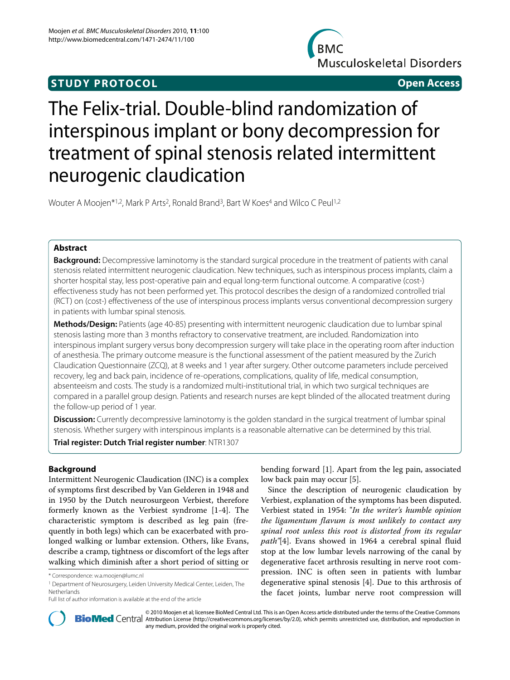## **STUDY PROTOCOL Open Access**



# The Felix-trial. Double-blind randomization of interspinous implant or bony decompression for treatment of spinal stenosis related intermittent neurogenic claudication

Wouter A Moojen\*1,2, Mark P Arts<sup>2</sup>, Ronald Brand<sup>3</sup>, Bart W Koes<sup>4</sup> and Wilco C Peul<sup>1,2</sup>

## **Abstract**

**Background:** Decompressive laminotomy is the standard surgical procedure in the treatment of patients with canal stenosis related intermittent neurogenic claudication. New techniques, such as interspinous process implants, claim a shorter hospital stay, less post-operative pain and equal long-term functional outcome. A comparative (cost-) effectiveness study has not been performed yet. This protocol describes the design of a randomized controlled trial (RCT) on (cost-) effectiveness of the use of interspinous process implants versus conventional decompression surgery in patients with lumbar spinal stenosis.

**Methods/Design:** Patients (age 40-85) presenting with intermittent neurogenic claudication due to lumbar spinal stenosis lasting more than 3 months refractory to conservative treatment, are included. Randomization into interspinous implant surgery versus bony decompression surgery will take place in the operating room after induction of anesthesia. The primary outcome measure is the functional assessment of the patient measured by the Zurich Claudication Questionnaire (ZCQ), at 8 weeks and 1 year after surgery. Other outcome parameters include perceived recovery, leg and back pain, incidence of re-operations, complications, quality of life, medical consumption, absenteeism and costs. The study is a randomized multi-institutional trial, in which two surgical techniques are compared in a parallel group design. Patients and research nurses are kept blinded of the allocated treatment during the follow-up period of 1 year.

**Discussion:** Currently decompressive laminotomy is the golden standard in the surgical treatment of lumbar spinal stenosis. Whether surgery with interspinous implants is a reasonable alternative can be determined by this trial.

**Trial register: Dutch Trial register number**: NTR1307

## **Background**

Intermittent Neurogenic Claudication (INC) is a complex of symptoms first described by Van Gelderen in 1948 and in 1950 by the Dutch neurosurgeon Verbiest, therefore formerly known as the Verbiest syndrome [\[1](#page-6-0)-[4\]](#page-6-1). The characteristic symptom is described as leg pain (frequently in both legs) which can be exacerbated with prolonged walking or lumbar extension. Others, like Evans, describe a cramp, tightness or discomfort of the legs after walking which diminish after a short period of sitting or

bending forward [[1\]](#page-6-0). Apart from the leg pain, associated low back pain may occur [\[5](#page-6-2)].

Since the description of neurogenic claudication by Verbiest, explanation of the symptoms has been disputed. Verbiest stated in 1954: "*In the writer's humble opinion the ligamentum flavum is most unlikely to contact any spinal root unless this root is distorted from its regular path"*[[4\]](#page-6-1). Evans showed in 1964 a cerebral spinal fluid stop at the low lumbar levels narrowing of the canal by degenerative facet arthrosis resulting in nerve root compression. INC is often seen in patients with lumbar degenerative spinal stenosis [[4](#page-6-1)]. Due to this arthrosis of the facet joints, lumbar nerve root compression will



2010 Moojen et al; licensee [BioMed](http://www.biomedcentral.com/) Central Ltd. This is an Open Access article distributed under the terms of the Creative Commons (http://creativecommons.org/licenses/by/2.0), which permits unrestricted use, distribution, any medium, provided the original work is properly cited.

<sup>\*</sup> Correspondence: w.a.moojen@lumc.nl

<sup>1</sup> Department of Neurosurgery, Leiden University Medical Center, Leiden, The Netherlands

Full list of author information is available at the end of the article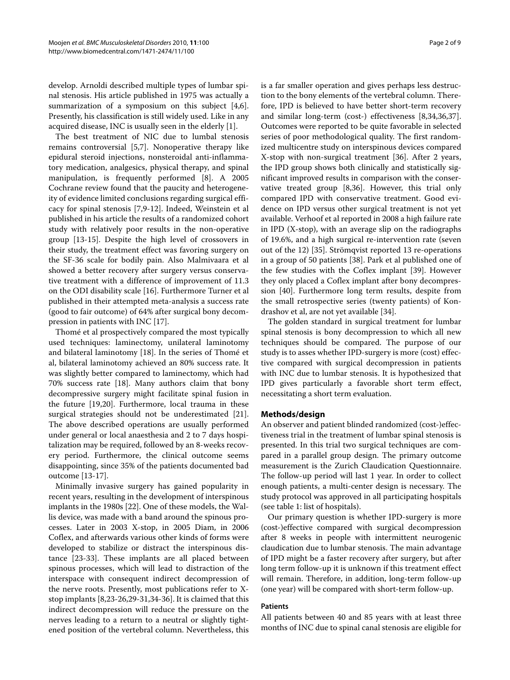develop. Arnoldi described multiple types of lumbar spinal stenosis. His article published in 1975 was actually a summarization of a symposium on this subject [[4](#page-6-1)[,6](#page-6-3)]. Presently, his classification is still widely used. Like in any acquired disease, INC is usually seen in the elderly [\[1](#page-6-0)].

The best treatment of NIC due to lumbal stenosis remains controversial [[5](#page-6-2)[,7](#page-6-4)]. Nonoperative therapy like epidural steroid injections, nonsteroidal anti-inflammatory medication, analgesics, physical therapy, and spinal manipulation, is frequently performed [[8\]](#page-6-5). A 2005 Cochrane review found that the paucity and heterogeneity of evidence limited conclusions regarding surgical efficacy for spinal stenosis [[7](#page-6-4),[9-](#page-7-0)[12](#page-7-1)]. Indeed, Weinstein et al published in his article the results of a randomized cohort study with relatively poor results in the non-operative group [[13-](#page-7-2)[15](#page-7-3)]. Despite the high level of crossovers in their study, the treatment effect was favoring surgery on the SF-36 scale for bodily pain. Also Malmivaara et al showed a better recovery after surgery versus conservative treatment with a difference of improvement of 11.3 on the ODI disability scale [\[16](#page-7-4)]. Furthermore Turner et al published in their attempted meta-analysis a success rate (good to fair outcome) of 64% after surgical bony decompression in patients with INC [\[17](#page-7-5)].

Thomé et al prospectively compared the most typically used techniques: laminectomy, unilateral laminotomy and bilateral laminotomy [[18\]](#page-7-6). In the series of Thomé et al, bilateral laminotomy achieved an 80% success rate. It was slightly better compared to laminectomy, which had 70% success rate [\[18\]](#page-7-6). Many authors claim that bony decompressive surgery might facilitate spinal fusion in the future [\[19](#page-7-7)[,20](#page-7-8)]. Furthermore, local trauma in these surgical strategies should not be underestimated [\[21](#page-7-9)]. The above described operations are usually performed under general or local anaesthesia and 2 to 7 days hospitalization may be required, followed by an 8-weeks recovery period. Furthermore, the clinical outcome seems disappointing, since 35% of the patients documented bad outcome [[13](#page-7-2)[-17](#page-7-5)].

Minimally invasive surgery has gained popularity in recent years, resulting in the development of interspinous implants in the 1980s [\[22](#page-7-10)]. One of these models, the Wallis device, was made with a band around the spinous processes. Later in 2003 X-stop, in 2005 Diam, in 2006 Coflex, and afterwards various other kinds of forms were developed to stabilize or distract the interspinous distance [\[23-](#page-7-11)[33](#page-7-12)]. These implants are all placed between spinous processes, which will lead to distraction of the interspace with consequent indirect decompression of the nerve roots. Presently, most publications refer to Xstop implants [\[8](#page-6-5)[,23](#page-7-11)-[26](#page-7-13),[29-](#page-7-14)[31](#page-7-15)[,34](#page-7-16)-[36](#page-7-17)]. It is claimed that this indirect decompression will reduce the pressure on the nerves leading to a return to a neutral or slightly tightened position of the vertebral column. Nevertheless, this is a far smaller operation and gives perhaps less destruction to the bony elements of the vertebral column. Therefore, IPD is believed to have better short-term recovery and similar long-term (cost-) effectiveness [\[8](#page-6-5)[,34](#page-7-16)[,36](#page-7-17)[,37](#page-7-18)]. Outcomes were reported to be quite favorable in selected series of poor methodological quality. The first randomized multicentre study on interspinous devices compared X-stop with non-surgical treatment [[36](#page-7-17)]. After 2 years, the IPD group shows both clinically and statistically significant improved results in comparison with the conservative treated group [[8](#page-6-5),[36](#page-7-17)]. However, this trial only compared IPD with conservative treatment. Good evidence on IPD versus other surgical treatment is not yet available. Verhoof et al reported in 2008 a high failure rate in IPD (X-stop), with an average slip on the radiographs of 19.6%, and a high surgical re-intervention rate (seven out of the 12) [[35\]](#page-7-19). Strömqvist reported 13 re-operations in a group of 50 patients [[38\]](#page-7-20). Park et al published one of the few studies with the Coflex implant [\[39](#page-7-21)]. However they only placed a Coflex implant after bony decompression [\[40](#page-7-22)]. Furthermore long term results, despite from the small retrospective series (twenty patients) of Kondrashov et al, are not yet available [\[34](#page-7-16)].

The golden standard in surgical treatment for lumbar spinal stenosis is bony decompression to which all new techniques should be compared. The purpose of our study is to asses whether IPD-surgery is more (cost) effective compared with surgical decompression in patients with INC due to lumbar stenosis. It is hypothesized that IPD gives particularly a favorable short term effect, necessitating a short term evaluation.

#### **Methods/design**

An observer and patient blinded randomized (cost-)effectiveness trial in the treatment of lumbar spinal stenosis is presented. In this trial two surgical techniques are compared in a parallel group design. The primary outcome measurement is the Zurich Claudication Questionnaire. The follow-up period will last 1 year. In order to collect enough patients, a multi-center design is necessary. The study protocol was approved in all participating hospitals (see table 1: list of hospitals).

Our primary question is whether IPD-surgery is more (cost-)effective compared with surgical decompression after 8 weeks in people with intermittent neurogenic claudication due to lumbar stenosis. The main advantage of IPD might be a faster recovery after surgery, but after long term follow-up it is unknown if this treatment effect will remain. Therefore, in addition, long-term follow-up (one year) will be compared with short-term follow-up.

#### **Patients**

All patients between 40 and 85 years with at least three months of INC due to spinal canal stenosis are eligible for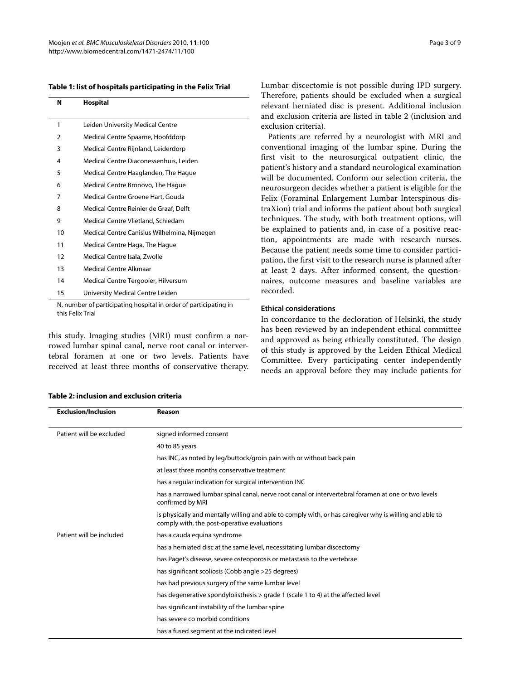| Table 1: list of hospitals participating in the Felix Trial |  |  |  |  |
|-------------------------------------------------------------|--|--|--|--|
|-------------------------------------------------------------|--|--|--|--|

| N  | Hospital                                                         |
|----|------------------------------------------------------------------|
|    |                                                                  |
| 1  | Leiden University Medical Centre                                 |
| 2  | Medical Centre Spaarne, Hoofddorp                                |
| 3  | Medical Centre Rijnland, Leiderdorp                              |
| 4  | Medical Centre Diaconessenhuis, Leiden                           |
| 5  | Medical Centre Haaglanden, The Hague                             |
| 6  | Medical Centre Bronovo, The Hague                                |
| 7  | Medical Centre Groene Hart, Gouda                                |
| 8  | Medical Centre Reinier de Graaf, Delft                           |
| 9  | Medical Centre Vlietland, Schiedam                               |
| 10 | Medical Centre Canisius Wilhelmina, Nijmegen                     |
| 11 | Medical Centre Haga, The Hague                                   |
| 12 | Medical Centre Isala, Zwolle                                     |
| 13 | Medical Centre Alkmaar                                           |
| 14 | Medical Centre Tergooier, Hilversum                              |
| 15 | University Medical Centre Leiden                                 |
|    | N, number of participating hospital in order of participating in |

this study. Imaging studies (MRI) must confirm a narrowed lumbar spinal canal, nerve root canal or intervertebral foramen at one or two levels. Patients have received at least three months of conservative therapy.

#### **Table 2: inclusion and exclusion criteria**

this Felix Trial

Lumbar discectomie is not possible during IPD surgery. Therefore, patients should be excluded when a surgical relevant herniated disc is present. Additional inclusion and exclusion criteria are listed in table 2 (inclusion and exclusion criteria).

Patients are referred by a neurologist with MRI and conventional imaging of the lumbar spine. During the first visit to the neurosurgical outpatient clinic, the patient's history and a standard neurological examination will be documented. Conform our selection criteria, the neurosurgeon decides whether a patient is eligible for the Felix (Foraminal Enlargement Lumbar Interspinous distraXion) trial and informs the patient about both surgical techniques. The study, with both treatment options, will be explained to patients and, in case of a positive reaction, appointments are made with research nurses. Because the patient needs some time to consider participation, the first visit to the research nurse is planned after at least 2 days. After informed consent, the questionnaires, outcome measures and baseline variables are recorded.

#### **Ethical considerations**

In concordance to the decloration of Helsinki, the study has been reviewed by an independent ethical committee and approved as being ethically constituted. The design of this study is approved by the Leiden Ethical Medical Committee. Every participating center independently needs an approval before they may include patients for

| <b>Exclusion/Inclusion</b> | Reason                                                                                                                                                 |  |  |  |  |
|----------------------------|--------------------------------------------------------------------------------------------------------------------------------------------------------|--|--|--|--|
| Patient will be excluded   | signed informed consent                                                                                                                                |  |  |  |  |
|                            | 40 to 85 years                                                                                                                                         |  |  |  |  |
|                            | has INC, as noted by leg/buttock/groin pain with or without back pain                                                                                  |  |  |  |  |
|                            | at least three months conservative treatment                                                                                                           |  |  |  |  |
|                            | has a regular indication for surgical intervention INC                                                                                                 |  |  |  |  |
|                            | has a narrowed lumbar spinal canal, nerve root canal or intervertebral foramen at one or two levels<br>confirmed by MRI                                |  |  |  |  |
|                            | is physically and mentally willing and able to comply with, or has caregiver why is willing and able to<br>comply with, the post-operative evaluations |  |  |  |  |
| Patient will be included   | has a cauda equina syndrome                                                                                                                            |  |  |  |  |
|                            | has a herniated disc at the same level, necessitating lumbar discectomy                                                                                |  |  |  |  |
|                            | has Paget's disease, severe osteoporosis or metastasis to the vertebrae                                                                                |  |  |  |  |
|                            | has significant scoliosis (Cobb angle >25 degrees)                                                                                                     |  |  |  |  |
|                            | has had previous surgery of the same lumbar level                                                                                                      |  |  |  |  |
|                            | has degenerative spondylolisthesis > grade 1 (scale 1 to 4) at the affected level                                                                      |  |  |  |  |
|                            | has significant instability of the lumbar spine                                                                                                        |  |  |  |  |
|                            | has severe co morbid conditions                                                                                                                        |  |  |  |  |
|                            | has a fused segment at the indicated level                                                                                                             |  |  |  |  |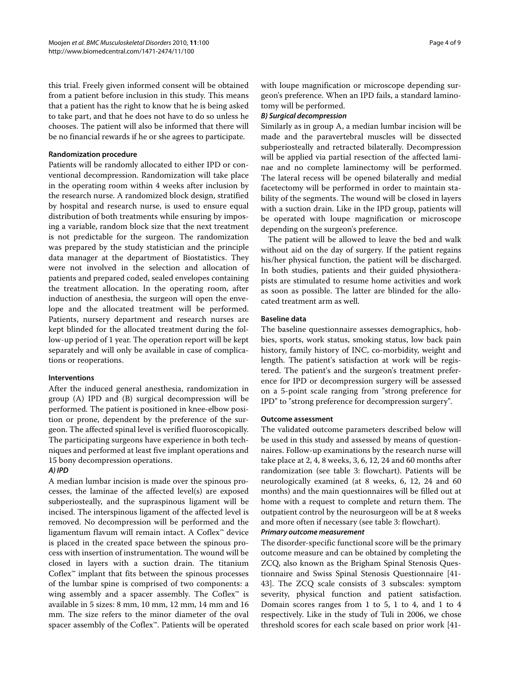this trial. Freely given informed consent will be obtained from a patient before inclusion in this study. This means that a patient has the right to know that he is being asked to take part, and that he does not have to do so unless he chooses. The patient will also be informed that there will be no financial rewards if he or she agrees to participate.

### **Randomization procedure**

Patients will be randomly allocated to either IPD or conventional decompression. Randomization will take place in the operating room within 4 weeks after inclusion by the research nurse. A randomized block design, stratified by hospital and research nurse, is used to ensure equal distribution of both treatments while ensuring by imposing a variable, random block size that the next treatment is not predictable for the surgeon. The randomization was prepared by the study statistician and the principle data manager at the department of Biostatistics. They were not involved in the selection and allocation of patients and prepared coded, sealed envelopes containing the treatment allocation. In the operating room, after induction of anesthesia, the surgeon will open the envelope and the allocated treatment will be performed. Patients, nursery department and research nurses are kept blinded for the allocated treatment during the follow-up period of 1 year. The operation report will be kept separately and will only be available in case of complications or reoperations.

#### **Interventions**

After the induced general anesthesia, randomization in group (A) IPD and (B) surgical decompression will be performed. The patient is positioned in knee-elbow position or prone, dependent by the preference of the surgeon. The affected spinal level is verified fluoroscopically. The participating surgeons have experience in both techniques and performed at least five implant operations and 15 bony decompression operations.

## **A) IPD**

A median lumbar incision is made over the spinous processes, the laminae of the affected level(s) are exposed subperiosteally, and the supraspinous ligament will be incised. The interspinous ligament of the affected level is removed. No decompression will be performed and the ligamentum flavum will remain intact. A Coflex™ device is placed in the created space between the spinous process with insertion of instrumentation. The wound will be closed in layers with a suction drain. The titanium Coflex™ implant that fits between the spinous processes of the lumbar spine is comprised of two components: a wing assembly and a spacer assembly. The Coflex<sup>™</sup> is available in 5 sizes: 8 mm, 10 mm, 12 mm, 14 mm and 16 mm. The size refers to the minor diameter of the oval spacer assembly of the Coflex™. Patients will be operated with loupe magnification or microscope depending surgeon's preference. When an IPD fails, a standard laminotomy will be performed.

#### **B) Surgical decompression**

Similarly as in group A, a median lumbar incision will be made and the paravertebral muscles will be dissected subperiosteally and retracted bilaterally. Decompression will be applied via partial resection of the affected laminae and no complete laminectomy will be performed. The lateral recess will be opened bilaterally and medial facetectomy will be performed in order to maintain stability of the segments. The wound will be closed in layers with a suction drain. Like in the IPD group, patients will be operated with loupe magnification or microscope depending on the surgeon's preference.

The patient will be allowed to leave the bed and walk without aid on the day of surgery. If the patient regains his/her physical function, the patient will be discharged. In both studies, patients and their guided physiotherapists are stimulated to resume home activities and work as soon as possible. The latter are blinded for the allocated treatment arm as well.

#### **Baseline data**

The baseline questionnaire assesses demographics, hobbies, sports, work status, smoking status, low back pain history, family history of INC, co-morbidity, weight and length. The patient's satisfaction at work will be registered. The patient's and the surgeon's treatment preference for IPD or decompression surgery will be assessed on a 5-point scale ranging from "strong preference for IPD" to "strong preference for decompression surgery".

#### **Outcome assessment**

The validated outcome parameters described below will be used in this study and assessed by means of questionnaires. Follow-up examinations by the research nurse will take place at 2, 4, 8 weeks, 3, 6, 12, 24 and 60 months after randomization (see table 3: flowchart). Patients will be neurologically examined (at 8 weeks, 6, 12, 24 and 60 months) and the main questionnaires will be filled out at home with a request to complete and return them. The outpatient control by the neurosurgeon will be at 8 weeks and more often if necessary (see table 3: flowchart).

#### **Primary outcome measurement**

The disorder-specific functional score will be the primary outcome measure and can be obtained by completing the ZCQ, also known as the Brigham Spinal Stenosis Questionnaire and Swiss Spinal Stenosis Questionnaire [\[41-](#page-7-23) [43\]](#page-7-24). The ZCQ scale consists of 3 subscales: symptom severity, physical function and patient satisfaction. Domain scores ranges from 1 to 5, 1 to 4, and 1 to 4 respectively. Like in the study of Tuli in 2006, we chose threshold scores for each scale based on prior work [\[41](#page-7-23)-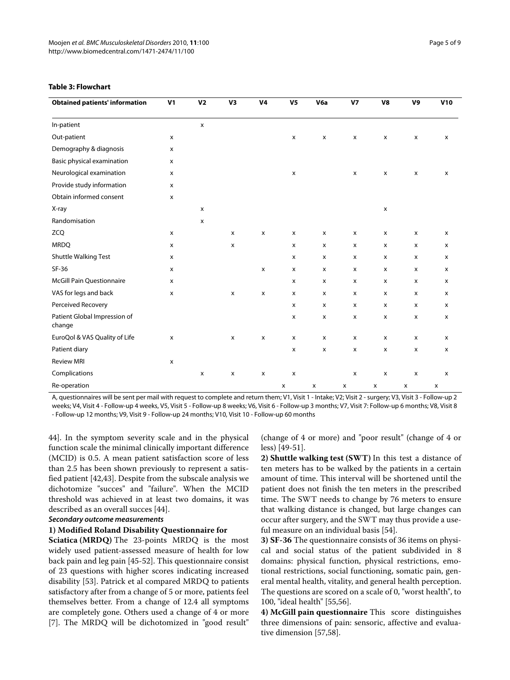#### **Table 3: Flowchart**

| <b>Obtained patients' information</b>  | V <sub>1</sub> | V <sub>2</sub>     | V3                 | V <sub>4</sub>            | V <sub>5</sub> | V <sub>6a</sub> | V <sub>7</sub>     | V8                 | V9                 | <b>V10</b>         |
|----------------------------------------|----------------|--------------------|--------------------|---------------------------|----------------|-----------------|--------------------|--------------------|--------------------|--------------------|
| In-patient                             |                | $\pmb{\mathsf{x}}$ |                    |                           |                |                 |                    |                    |                    |                    |
| Out-patient                            | x              |                    |                    |                           | X              | $\pmb{\chi}$    | x                  | X                  | $\pmb{\times}$     | $\pmb{\mathsf{x}}$ |
| Demography & diagnosis                 | x              |                    |                    |                           |                |                 |                    |                    |                    |                    |
| Basic physical examination             | x              |                    |                    |                           |                |                 |                    |                    |                    |                    |
| Neurological examination               | x              |                    |                    |                           | X              |                 | X                  | $\pmb{\mathsf{x}}$ | $\pmb{\times}$     | X                  |
| Provide study information              | x              |                    |                    |                           |                |                 |                    |                    |                    |                    |
| Obtain informed consent                | x              |                    |                    |                           |                |                 |                    |                    |                    |                    |
| X-ray                                  |                | x                  |                    |                           |                |                 |                    | $\pmb{\mathsf{x}}$ |                    |                    |
| Randomisation                          |                | x                  |                    |                           |                |                 |                    |                    |                    |                    |
| ZCQ                                    | x              |                    | $\pmb{\mathsf{x}}$ | $\boldsymbol{\mathsf{x}}$ | X              | X               | X                  | X                  | x                  | X                  |
| <b>MRDQ</b>                            | x              |                    | $\pmb{\mathsf{x}}$ |                           | $\pmb{\chi}$   | $\pmb{\chi}$    | x                  | X                  | X                  | X                  |
| Shuttle Walking Test                   | x              |                    |                    |                           | X              | x               | x                  | x                  | x                  | x                  |
| SF-36                                  | x              |                    |                    | $\boldsymbol{\mathsf{x}}$ | X              | $\pmb{\chi}$    | x                  | X                  | x                  | X                  |
| <b>McGill Pain Questionnaire</b>       | x              |                    |                    |                           | X              | $\pmb{\chi}$    | x                  | x                  | х                  | x                  |
| VAS for legs and back                  | x              |                    | $\pmb{\mathsf{x}}$ | $\boldsymbol{\mathsf{x}}$ | X              | $\pmb{\chi}$    | x                  | X                  | x                  | x                  |
| Perceived Recovery                     |                |                    |                    |                           | X              | x               | X                  | x                  | x                  | x                  |
| Patient Global Impression of<br>change |                |                    |                    |                           | X              | X               | x                  | x                  | X                  | X                  |
| EuroQol & VAS Quality of Life          | x              |                    | $\pmb{\mathsf{x}}$ | X                         | X              | X               | x                  | $\pmb{\mathsf{x}}$ | $\pmb{\mathsf{x}}$ | X                  |
| Patient diary                          |                |                    |                    |                           | X              | X               | x                  | X                  | X                  | X                  |
| <b>Review MRI</b>                      | x              |                    |                    |                           |                |                 |                    |                    |                    |                    |
| Complications                          |                | x                  | x                  | $\boldsymbol{\mathsf{x}}$ | X              |                 | x                  | X                  | $\pmb{\chi}$       | X                  |
| Re-operation                           |                |                    |                    |                           | X              | $\pmb{\times}$  | $\pmb{\mathsf{X}}$ | $\pmb{\mathsf{x}}$ | x                  | X                  |

A, questionnaires will be sent per mail with request to complete and return them; V1, Visit 1 - Intake; V2; Visit 2 - surgery; V3, Visit 3 - Follow-up 2 weeks; V4, Visit 4 - Follow-up 4 weeks, V5, Visit 5 - Follow-up 8 weeks; V6, Visit 6 - Follow-up 3 months; V7, Visit 7: Follow-up 6 months; V8, Visit 8 - Follow-up 12 months; V9, Visit 9 - Follow-up 24 months; V10, Visit 10 - Follow-up 60 months

[44](#page-7-25)]. In the symptom severity scale and in the physical function scale the minimal clinically important difference (MCID) is 0.5. A mean patient satisfaction score of less than 2.5 has been shown previously to represent a satisfied patient [\[42](#page-7-26)[,43](#page-7-24)]. Despite from the subscale analysis we dichotomize "succes" and "failure". When the MCID threshold was achieved in at least two domains, it was described as an overall succes [[44\]](#page-7-25).

## **Secondary outcome measurements**

## **1) Modified Roland Disability Questionnaire for**

**Sciatica (MRDQ)** The 23-points MRDQ is the most widely used patient-assessed measure of health for low back pain and leg pain [\[45](#page-7-27)-[52\]](#page-7-28). This questionnaire consist of 23 questions with higher scores indicating increased disability [[53](#page-7-29)]. Patrick et al compared MRDQ to patients satisfactory after from a change of 5 or more, patients feel themselves better. From a change of 12.4 all symptoms are completely gone. Others used a change of 4 or more [[7\]](#page-6-4). The MRDQ will be dichotomized in "good result"

(change of 4 or more) and "poor result" (change of 4 or less) [\[49-](#page-7-30)[51](#page-7-31)].

**2) Shuttle walking test (SWT)** In this test a distance of ten meters has to be walked by the patients in a certain amount of time. This interval will be shortened until the patient does not finish the ten meters in the prescribed time. The SWT needs to change by 76 meters to ensure that walking distance is changed, but large changes can occur after surgery, and the SWT may thus provide a useful measure on an individual basis [[54\]](#page-7-32).

**3) SF-36** The questionnaire consists of 36 items on physical and social status of the patient subdivided in 8 domains: physical function, physical restrictions, emotional restrictions, social functioning, somatic pain, general mental health, vitality, and general health perception. The questions are scored on a scale of 0, "worst health", to 100, "ideal health" [[55,](#page-8-0)[56\]](#page-8-1).

**4) McGill pain questionnaire** This score distinguishes three dimensions of pain: sensoric, affective and evaluative dimension [\[57](#page-8-2),[58](#page-8-3)].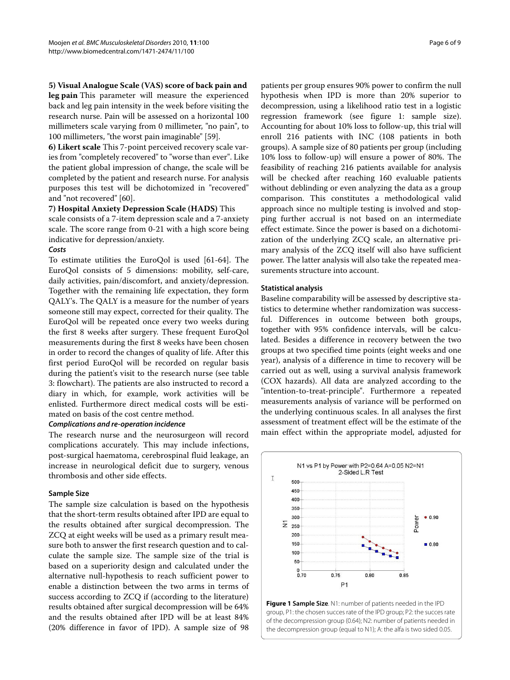**5) Visual Analogue Scale (VAS) score of back pain and leg pain** This parameter will measure the experienced back and leg pain intensity in the week before visiting the research nurse. Pain will be assessed on a horizontal 100 millimeters scale varying from 0 millimeter, "no pain", to 100 millimeters, "the worst pain imaginable" [\[59\]](#page-8-4).

**6) Likert scale** This 7-point perceived recovery scale varies from "completely recovered" to "worse than ever". Like the patient global impression of change, the scale will be completed by the patient and research nurse. For analysis purposes this test will be dichotomized in "recovered" and "not recovered" [\[60](#page-8-5)].

## **7) Hospital Anxiety Depression Scale (HADS)** This

scale consists of a 7-item depression scale and a 7-anxiety scale. The score range from 0-21 with a high score being indicative for depression/anxiety.

## **Costs**

To estimate utilities the EuroQol is used [\[61](#page-8-6)[-64](#page-8-7)]. The EuroQol consists of 5 dimensions: mobility, self-care, daily activities, pain/discomfort, and anxiety/depression. Together with the remaining life expectation, they form QALY's. The QALY is a measure for the number of years someone still may expect, corrected for their quality. The EuroQol will be repeated once every two weeks during the first 8 weeks after surgery. These frequent EuroQol measurements during the first 8 weeks have been chosen in order to record the changes of quality of life. After this first period EuroQol will be recorded on regular basis during the patient's visit to the research nurse (see table 3: flowchart). The patients are also instructed to record a diary in which, for example, work activities will be enlisted. Furthermore direct medical costs will be estimated on basis of the cost centre method.

#### **Complications and re-operation incidence**

The research nurse and the neurosurgeon will record complications accurately. This may include infections, post-surgical haematoma, cerebrospinal fluid leakage, an increase in neurological deficit due to surgery, venous thrombosis and other side effects.

#### **Sample Size**

The sample size calculation is based on the hypothesis that the short-term results obtained after IPD are equal to the results obtained after surgical decompression. The ZCQ at eight weeks will be used as a primary result measure both to answer the first research question and to calculate the sample size. The sample size of the trial is based on a superiority design and calculated under the alternative null-hypothesis to reach sufficient power to enable a distinction between the two arms in terms of success according to ZCQ if (according to the literature) results obtained after surgical decompression will be 64% and the results obtained after IPD will be at least 84% (20% difference in favor of IPD). A sample size of 98

patients per group ensures 90% power to confirm the null hypothesis when IPD is more than 20% superior to decompression, using a likelihood ratio test in a logistic regression framework (see figure [1](#page-5-0): sample size). Accounting for about 10% loss to follow-up, this trial will enroll 216 patients with INC (108 patients in both groups). A sample size of 80 patients per group (including 10% loss to follow-up) will ensure a power of 80%. The feasibility of reaching 216 patients available for analysis will be checked after reaching 160 evaluable patients without deblinding or even analyzing the data as a group comparison. This constitutes a methodological valid approach since no multiple testing is involved and stopping further accrual is not based on an intermediate effect estimate. Since the power is based on a dichotomization of the underlying ZCQ scale, an alternative primary analysis of the ZCQ itself will also have sufficient power. The latter analysis will also take the repeated measurements structure into account.

#### **Statistical analysis**

Baseline comparability will be assessed by descriptive statistics to determine whether randomization was successful. Differences in outcome between both groups, together with 95% confidence intervals, will be calculated. Besides a difference in recovery between the two groups at two specified time points (eight weeks and one year), analysis of a difference in time to recovery will be carried out as well, using a survival analysis framework (COX hazards). All data are analyzed according to the "intention-to-treat-principle". Furthermore a repeated measurements analysis of variance will be performed on the underlying continuous scales. In all analyses the first assessment of treatment effect will be the estimate of the main effect within the appropriate model, adjusted for

<span id="page-5-0"></span>

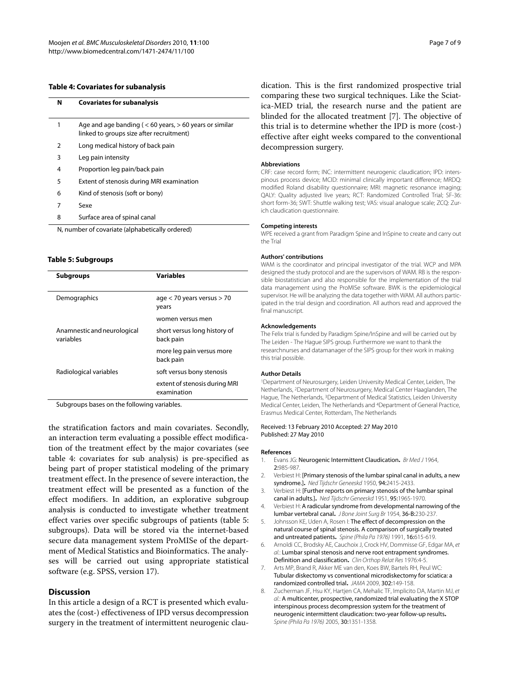**N Covariates for subanalysis**

#### **Table 4: Covariates for subanalysis**

| N | Covariates for subanalysis                                                                              |
|---|---------------------------------------------------------------------------------------------------------|
| 1 | Age and age banding ( $<$ 60 years, $>$ 60 years or similar<br>linked to groups size after recruitment) |
| 2 | Long medical history of back pain                                                                       |
| 3 | Leg pain intensity                                                                                      |
| 4 | Proportion leg pain/back pain                                                                           |
| 5 | Extent of stenosis during MRI examination                                                               |
| 6 | Kind of stenosis (soft or bony)                                                                         |
| 7 | Sexe                                                                                                    |
| 8 | Surface area of spinal canal                                                                            |
|   |                                                                                                         |

N, number of covariate (alphabetically ordered)

#### <span id="page-6-6"></span>**Table 5: Subgroups**

| <b>Subgroups</b>                         | Variables                                    |
|------------------------------------------|----------------------------------------------|
| Demographics                             | age $<$ 70 years versus $>$ 70<br>years      |
|                                          | women versus men                             |
| Anamnestic and neurological<br>variables | short versus long history of<br>back pain    |
|                                          | more leg pain versus more<br>back pain       |
| Radiological variables                   | soft versus bony stenosis                    |
|                                          | extent of stenosis during MRI<br>examination |

Subgroups bases on the following variables.

the stratification factors and main covariates. Secondly, an interaction term evaluating a possible effect modification of the treatment effect by the major covariates (see table 4: covariates for sub analysis) is pre-specified as being part of proper statistical modeling of the primary treatment effect. In the presence of severe interaction, the treatment effect will be presented as a function of the effect modifiers. In addition, an explorative subgroup analysis is conducted to investigate whether treatment effect varies over specific subgroups of patients (table [5](#page-6-6): subgroups). Data will be stored via the internet-based secure data management system ProMISe of the department of Medical Statistics and Bioinformatics. The analyses will be carried out using appropriate statistical software (e.g. SPSS, version 17).

## **Discussion**

In this article a design of a RCT is presented which evaluates the (cost-) effectiveness of IPD versus decompression surgery in the treatment of intermittent neurogenic clau-

dication. This is the first randomized prospective trial comparing these two surgical techniques. Like the Sciatica-MED trial, the research nurse and the patient are blinded for the allocated treatment [\[7](#page-6-4)]. The objective of this trial is to determine whether the IPD is more (cost-) effective after eight weeks compared to the conventional decompression surgery.

#### **Abbreviations**

CRF: case record form; INC: intermittent neurogenic claudication; IPD: interspinous process device; MCID: minimal clinically important difference; MRDQ: modified Roland disability questionnaire; MRI: magnetic resonance imaging; QALY: Quality adjusted live years; RCT: Randomized Controlled Trial; SF-36: short form-36; SWT: Shuttle walking test; VAS: visual analogue scale; ZCQ: Zurich claudication questionnaire.

#### **Competing interests**

WPE received a grant from Paradigm Spine and InSpine to create and carry out the Trial

#### **Authors' contributions**

WAM is the coordinator and principal investigator of the trial. WCP and MPA designed the study protocol and are the supervisors of WAM. RB is the responsible biostatistician and also responsible for the implementation of the trial data management using the ProMISe software. BWK is the epidemiological supervisor. He will be analyzing the data together with WAM. All authors participated in the trial design and coordination. All authors read and approved the final manuscript.

#### **Acknowledgements**

The Felix trial is funded by Paradigm Spine/InSpine and will be carried out by The Leiden - The Hague SIPS group. Furthermore we want to thank the researchnurses and datamanager of the SIPS group for their work in making this trial possible.

#### **Author Details**

1Department of Neurosurgery, Leiden University Medical Center, Leiden, The Netherlands, 2Department of Neurosurgery, Medical Center Haaglanden, The Hague, The Netherlands, 3Department of Medical Statistics, Leiden University Medical Center, Leiden, The Netherlands and 4Department of General Practice, Erasmus Medical Center, Rotterdam, The Netherlands

Received: 13 February 2010 Accepted: 27 May 2010 Published: 27 May 2010

#### **References**

- <span id="page-6-0"></span>1. Evans JG: Neurogenic Intermittent Claudication**.** Br Med J 1964, 2:985-987.
- Verbiest H: [Primary stenosis of the lumbar spinal canal in adults, a new syndrome.]**.** Ned Tijdschr Geneeskd 1950, 94:2415-2433.
- 3. Verbiest H: [Further reports on primary stenosis of the lumbar spinal canal in adults.]**.** Ned Tijdschr Geneeskd 1951, 95:1965-1970.
- <span id="page-6-1"></span>4. Verbiest H: A radicular syndrome from developmental narrowing of the lumbar vertebral canal**.** J Bone Joint Surg Br 1954, 36-B:230-237.
- <span id="page-6-2"></span>5. Johnsson KE, Uden A, Rosen I: The effect of decompression on the natural course of spinal stenosis. A comparison of surgically treated and untreated patients**.** Spine (Phila Pa 1976) 1991, 16:615-619.
- <span id="page-6-3"></span>6. Arnoldi CC, Brodsky AE, Cauchoix J, Crock HV, Dommisse GF, Edgar MA, et al.: Lumbar spinal stenosis and nerve root entrapment syndromes. Definition and classification**.** Clin Orthop Relat Res 1976:4-5.
- <span id="page-6-4"></span>7. Arts MP, Brand R, Akker ME van den, Koes BW, Bartels RH, Peul WC: Tubular diskectomy vs conventional microdiskectomy for sciatica: a randomized controlled trial**.** JAMA 2009, 302:149-158.
- <span id="page-6-5"></span>8. Zucherman JF, Hsu KY, Hartjen CA, Mehalic TF, Implicito DA, Martin MJ, et al.: A multicenter, prospective, randomized trial evaluating the X STOP interspinous process decompression system for the treatment of neurogenic intermittent claudication: two-year follow-up results**.** Spine (Phila Pa 1976) 2005, 30:1351-1358.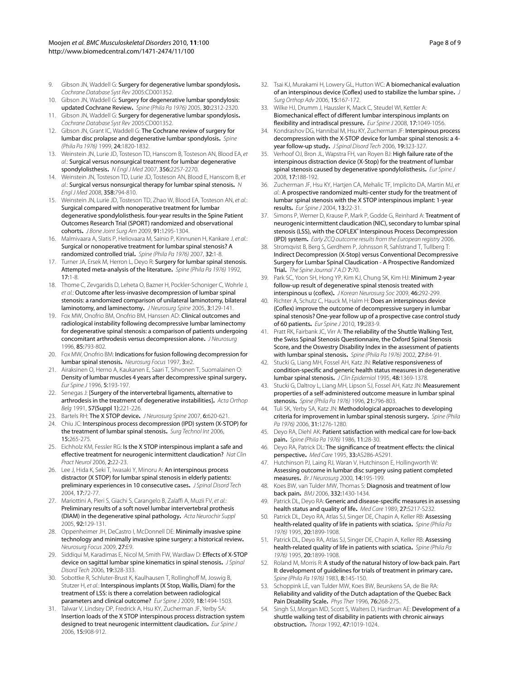- <span id="page-7-0"></span>9. Gibson JN, Waddell G: Surgery for degenerative lumbar spondylosis**.** Cochrane Database Syst Rev 2005:CD001352.
- 10. Gibson JN, Waddell G: Surgery for degenerative lumbar spondylosis: updated Cochrane Review**.** Spine (Phila Pa 1976) 2005, 30:2312-2320.
- 11. Gibson JN, Waddell G: Surgery for degenerative lumbar spondylosis**.** Cochrane Database Syst Rev 2005:CD001352.
- <span id="page-7-1"></span>12. Gibson JN, Grant IC, Waddell G: The Cochrane review of surgery for lumbar disc prolapse and degenerative lumbar spondylosis**.** Spine (Phila Pa 1976) 1999, 24:1820-1832.
- <span id="page-7-2"></span>13. Weinstein JN, Lurie JD, Tosteson TD, Hanscom B, Tosteson AN, Blood EA, et  $al$ : Surgical versus nonsurgical treatment for lumbar degenerative spondylolisthesis**[.](http://www.ncbi.nlm.nih.gov/entrez/query.fcgi?cmd=Retrieve&db=PubMed&dopt=Abstract&list_uids=17538085)** N Engl J Med 2007, 356:2257-2270.
- 14. Weinstein JN, Tosteson TD, Lurie JD, Tosteson AN, Blood E, Hanscom B, et al.: Surgical versus nonsurgical therapy for lumbar spinal stenosis**[.](http://www.ncbi.nlm.nih.gov/entrez/query.fcgi?cmd=Retrieve&db=PubMed&dopt=Abstract&list_uids=18287602)** N Engl J Med 2008, 358:794-810.
- <span id="page-7-3"></span>15. Weinstein JN, Lurie JD, Tosteson TD, Zhao W, Blood EA, Tosteson AN, et al.: Surgical compared with nonoperative treatment for lumbar degenerative spondylolisthesis. four-year results in the Spine Patient Outcomes Research Trial (SPORT) randomized and observational cohorts**[.](http://www.ncbi.nlm.nih.gov/entrez/query.fcgi?cmd=Retrieve&db=PubMed&dopt=Abstract&list_uids=19487505)** J Bone Joint Surg Am 2009, 91:1295-1304.
- <span id="page-7-4"></span>16. Malmivaara A, Slatis P, Heliovaara M, Sainio P, Kinnunen H, Kankare J, et al.: Surgical or nonoperative treatment for lumbar spinal stenosis? A randomized controlled trial**.** Spine (Phila Pa 1976) 2007, 32:1-8.
- <span id="page-7-5"></span>17. Turner JA, Ersek M, Herron L, Deyo R: Surgery for lumbar spinal stenosis. Attempted meta-analysis of the literature**.** Spine (Phila Pa 1976) 1992, 17:1-8.
- <span id="page-7-6"></span>18. Thome C, Zevgaridis D, Leheta O, Bazner H, Pockler-Schoniger C, Wohrle J, et al.: Outcome after less-invasive decompression of lumbar spinal stenosis: a randomized comparison of unilateral laminotomy, bilateral laminotomy, and laminectomy**.** J Neurosurg Spine 2005, 3:129-141.
- <span id="page-7-7"></span>19. Fox MW, Onofrio BM, Onofrio BM, Hanssen AD: Clinical outcomes and radiological instability following decompressive lumbar laminectomy for degenerative spinal stenosis: a comparison of patients undergoing concomitant arthrodesis versus decompression alone**.** J Neurosurg 1996, 85:793-802.
- <span id="page-7-8"></span>20. Fox MW, Onofrio BM: Indications for fusion following decompression for lumbar spinal stenosis**.** Neurosurg Focus 1997, 3:e2.
- <span id="page-7-9"></span>21. Airaksinen O, Herno A, Kaukanen E, Saari T, Sihvonen T, Suomalainen O: Density of lumbar muscles 4 years after decompressive spinal surgery**.** Eur Spine J 1996, 5:193-197.
- <span id="page-7-10"></span>22. Senegas J: [Surgery of the intervertebral ligaments, alternative to arthrodesis in the treatment of degenerative instabilities]**.** Acta Orthop Belg 1991, 57(Suppl 1):221-226.
- <span id="page-7-11"></span>23. Bartels RH: The X STOP device**.** J Neurosurg Spine 2007, 6:620-621.
- 24. Chiu JC: Interspinous process decompression (IPD) system (X-STOP) for the treatment of lumbar spinal stenosis**.** Surg Technol Int 2006, 15:265-275.
- 25. Eichholz KM, Fessler RG: Is the X STOP interspinous implant a safe and effective treatment for neurogenic intermittent claudication? Nat Clin Pract Neurol 2006, 2:22-23.
- <span id="page-7-13"></span>26. Lee J, Hida K, Seki T, Iwasaki Y, Minoru A: An interspinous process distractor (X STOP) for lumbar spinal stenosis in elderly patients: preliminary experiences in 10 consecutive cases**[.](http://www.ncbi.nlm.nih.gov/entrez/query.fcgi?cmd=Retrieve&db=PubMed&dopt=Abstract&list_uids=14734979)** J Spinal Disord Tech 2004, 17:72-77.
- 27. Mariottini A, Pieri S, Giachi S, Carangelo B, Zalaffi A, Muzii FV, et al.: Preliminary results of a soft novel lumbar intervertebral prothesis (DIAM) in the degenerative spinal pathology**.** Acta Neurochir Suppl 2005, 92:129-131.
- 28. Oppenheimer JH, DeCastro I, McDonnell DE: Minimally invasive spine technology and minimally invasive spine surgery: a historical review**.** Neurosurg Focus 2009, 27:E9.
- <span id="page-7-14"></span>29. Siddiqui M, Karadimas E, Nicol M, Smith FW, Wardlaw D: Effects of X-STOP device on sagittal lumbar spine kinematics in spinal stenosis**[.](http://www.ncbi.nlm.nih.gov/entrez/query.fcgi?cmd=Retrieve&db=PubMed&dopt=Abstract&list_uids=16826003)** J Spinal Disord Tech 2006, 19:328-333.
- 30. Sobottke R, Schluter-Brust K, Kaulhausen T, Rollinghoff M, Joswig B, Stutzer H, et al.: Interspinous implants (X Stop, Wallis, Diam) for the treatment of LSS: is there a correlation between radiological parameters and clinical outcome? Eur Spine J 2009, 18:1494-1503.
- <span id="page-7-15"></span>31. Talwar V, Lindsey DP, Fredrick A, Hsu KY, Zucherman JF, Yerby SA: Insertion loads of the X STOP interspinous process distraction system designed to treat neurogenic intermittent claudication**.** Eur Spine J 2006, 15:908-912.
- 32. Tsai KJ, Murakami H, Lowery GL, Hutton WC: A biomechanical evaluation of an interspinous device (Coflex) used to stabilize the lumbar spine**.** J Surg Orthop Adv 2006, 15:167-172.
- <span id="page-7-12"></span>33. Wilke HJ, Drumm J, Haussler K, Mack C, Steudel WI, Kettler A: Biomechanical effect of different lumbar interspinous implants on flexibility and intradiscal pressure. Eur Spine J 2008, 17:1049-1056.
- <span id="page-7-16"></span>34. Kondrashov DG, Hannibal M, Hsu KY, Zucherman JF: Interspinous process decompression with the X-STOP device for lumbar spinal stenosis: a 4 year follow-up study**[.](http://www.ncbi.nlm.nih.gov/entrez/query.fcgi?cmd=Retrieve&db=PubMed&dopt=Abstract&list_uids=16826002)** J Spinal Disord Tech 2006, 19:323-327.
- <span id="page-7-19"></span>35. Verhoof OJ, Bron JL, Wapstra FH, van Royen BJ: High failure rate of the interspinous distraction device (X-Stop) for the treatment of lumbar spinal stenosis caused by degenerative spondylolisthesis**.** Eur Spine J 2008, 17:188-192.
- <span id="page-7-17"></span>36. Zucherman JF, Hsu KY, Hartjen CA, Mehalic TF, Implicito DA, Martin MJ, et al.: A prospective randomized multi-center study for the treatment of lumbar spinal stenosis with the X STOP interspinous implant: 1-year results**.** Eur Spine J 2004, 13:22-31.
- <span id="page-7-18"></span>37. Simons P, Werner D, Krause P, Mark P, Godde G, Reinhard A: Treatment of neurogenic intermittent claudication (NIC), secondary to lumbar spinal stenosis (LSS), with the COFLEX<sup>®</sup> Interspinous Process Decompression (IPD) system**.** Early ZCQ outcome results from the European registry 2006.
- <span id="page-7-20"></span>38. Stromqvist B, Berg S, Gerdhem P, Johnsson R, Sahlstrand T, Tullberg T: Indirect Decompression (X-Stop) versus Conventional Decompressive Surgery for Lumbar Spinal Claudication - A Prospective Randomized Trial**.** The Spine Journal 7 A.D 7:70.
- <span id="page-7-21"></span>39. Park SC, Yoon SH, Hong YP, Kim KJ, Chung SK, Kim HJ: Minimum 2-year follow-up result of degenerative spinal stenosis treated with interspinous u (coflex)**.** J Korean Neurosurg Soc 2009, 46:292-299.
- <span id="page-7-22"></span>40. Richter A, Schutz C, Hauck M, Halm H: Does an interspinous device (Coflex) improve the outcome of decompressive surgery in lumbar spinal stenosis? One-year follow up of a prospective case control study of 60 patients**.** Eur Spine J 2010, 19:283-9.
- <span id="page-7-23"></span>41. Pratt RK, Fairbank JC, Virr A: The reliability of the Shuttle Walking Test, the Swiss Spinal Stenosis Questionnaire, the Oxford Spinal Stenosis Score, and the Oswestry Disability Index in the assessment of patients with lumbar spinal stenosis**.** Spine (Phila Pa 1976) 2002, 27:84-91.
- <span id="page-7-26"></span>42. Stucki G, Liang MH, Fossel AH, Katz JN: Relative responsiveness of condition-specific and generic health status measures in degenerative lumbar spinal stenosis**.** J Clin Epidemiol 1995, 48:1369-1378.
- <span id="page-7-24"></span>43. Stucki G, Daltroy L, Liang MH, Lipson SJ, Fossel AH, Katz JN: Measurement properties of a self-administered outcome measure in lumbar spinal stenosis**.** Spine (Phila Pa 1976) 1996, 21:796-803.
- <span id="page-7-25"></span>44. Tuli SK, Yerby SA, Katz JN: Methodological approaches to developing criteria for improvement in lumbar spinal stenosis surgery**.** Spine (Phila Pa 1976) 2006. 31:1276-1280.
- <span id="page-7-27"></span>45. Deyo RA, Diehl AK: Patient satisfaction with medical care for low-back pain**[.](http://www.ncbi.nlm.nih.gov/entrez/query.fcgi?cmd=Retrieve&db=PubMed&dopt=Abstract&list_uids=2939566)** Spine (Phila Pa 1976) 1986, 11:28-30.
- 46. Deyo RA, Patrick DL: The significance of treatment effects: the clinical perspective**.** Med Care 1995, 33:AS286-AS291.
- 47. Hutchinson PJ, Laing RJ, Waran V, Hutchinson E, Hollingworth W: Assessing outcome in lumbar disc surgery using patient completed measures**.** Br J Neurosurg 2000, 14:195-199.
- 48. Koes BW, van Tulder MW, Thomas S: Diagnosis and treatment of low back pain**.** BMJ 2006, 332:1430-1434.
- <span id="page-7-30"></span>49. Patrick DL, Deyo RA: Generic and disease-specific measures in assessing health status and quality of life**[.](http://www.ncbi.nlm.nih.gov/entrez/query.fcgi?cmd=Retrieve&db=PubMed&dopt=Abstract&list_uids=2646490)** Med Care 1989, 27:S217-S232.
- 50. Patrick DL, Deyo RA, Atlas SJ, Singer DE, Chapin A, Keller RB: Assessing health-related quality of life in patients with sciatica**.** Spine (Phila Pa 1976) 1995, 20:1899-1908.
- <span id="page-7-31"></span>51. Patrick DL, Deyo RA, Atlas SJ, Singer DE, Chapin A, Keller RB: Assessing health-related quality of life in patients with sciatica**.** Spine (Phila Pa 1976) 1995, 20:1899-1908.
- <span id="page-7-28"></span>52. Roland M, Morris R: A study of the natural history of low-back pain. Part II: development of guidelines for trials of treatment in primary care**.** Spine (Phila Pa 1976) 1983, 8:145-150.
- <span id="page-7-29"></span>53. Schoppink LE, van Tulder MW, Koes BW, Beurskens SA, de Bie RA: Reliability and validity of the Dutch adaptation of the Quebec Back Pain Disability Scale**[.](http://www.ncbi.nlm.nih.gov/entrez/query.fcgi?cmd=Retrieve&db=PubMed&dopt=Abstract&list_uids=8602412)** Phys Ther 1996, 76:268-275.
- <span id="page-7-32"></span>54. Singh SJ, Morgan MD, Scott S, Walters D, Hardman AE: Development of a shuttle walking test of disability in patients with chronic airways obstruction**.** Thorax 1992, 47:1019-1024.